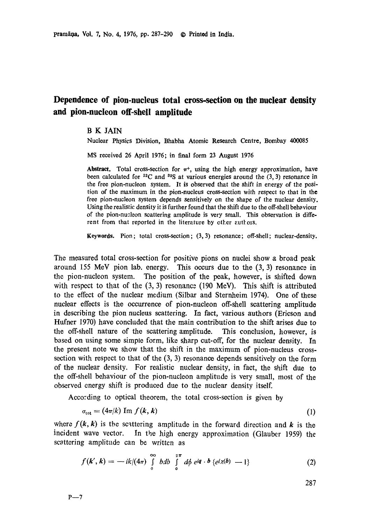## **Dependence of pion-nucleus total cross-section on the nuclear density and pion-nucleon off-shell amplitude**

## B K JAIN

Nuclear Physics Division, Bhabha Atomic Research Centre, Bombay 400085

MS received 26 April 1976; in final form 23 August 1976

Abstract. Total cross-section for  $\pi^{+}$ , using the high energy approximation, have been calculated for <sup>12</sup>C and <sup>32</sup>S at various energies around the  $(3, 3)$  resonance in the free pion-nucleon system. It is observed that the shift in energy of the position of the maximum in the pion-nucleus cross-section with respect *to* that in **the**  free pion-nucleon system depends sensitively on the shape of the nuclear density. Using the realistic density it is further found that the shift due to the off-shell behaviour of the pion-nucleon scattering amplitude is very small. This observation is different from that reported in the literature by other authors.

**Keywords.** Pion ; total cross-section ; (3, 3) resonance; off-shell; nuclear-density.

The measured total cross-section for positive pions on nuclei show a broad peak around 155 MeV pion lab. energy. This occurs due to the (3, 3) resonance in the pion-nucleon system. The position of the peak, however, is shifted down with respect to that of the  $(3, 3)$  resonance  $(190 \text{ MeV})$ . This shift is attributed to the effect of the nuclear medium (Silbar and Sternheim 1974). One of these nuclear effects is the occurrence of pion-nucleon off-shell scattering amplitude in describing the pion nucleus scattering. In fact, various authors (Ericson and Hufner 1970) have concluded that the main contribution to the shift arises due to the off-shell nature of the scattering amplitude. This conclusion, however, is based on using some simple form, like sharp cut-off, for the nuclear density. In the present note we show that the shift in the maximum of pion-nucleus crosssection with respect to that of the (3, 3) resonance depends sensitively on the form of the nuclear density. For realistic nuclear density, in fact, the shift due to the off-sheU behaviour of the pion-nucleon amplitude is very small, most of the observed energy shift is produced due to the nuclear density itself.

According to optical theorem, the total cross-section is given by

 $\sim$   $\sim$ 

 $\sim$ 

 $\mathbf{L}$ 

$$
\sigma_{\text{tot}} = (4\pi/k) \text{ Im } f(k, k) \tag{1}
$$

where  $f(k, k)$  is the scattering amplitude in the forward direction and k is the incident wave vector. In the high energy approximation (Glauber 1959) the scattering amplitude can be written as

$$
f(\mathbf{k}',\mathbf{k}) = -ik/(4\pi) \int\limits_{0}^{\infty} bdb \int\limits_{0}^{2\pi} d\phi \; e^{i\mathbf{q} \cdot \mathbf{b}} \; \{e^{i\chi(\mathbf{b})} - 1\} \tag{2}
$$

$$
^{287}
$$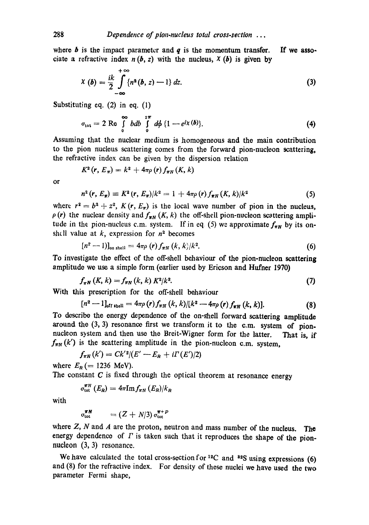where  $\boldsymbol{b}$  is the impact parameter and  $\boldsymbol{q}$  is the momentum transfer. If we associate a refractive index  $n(b, z)$  with the nucleus,  $\chi(b)$  is given by

$$
X(b) = \frac{ik}{2} \int_{-\infty}^{+\infty} \{n^2(b, z) - 1\} dz.
$$
 (3)

Substituting eq. (2) in eq. (1)

$$
\sigma_{\text{tot}} = 2 \text{ Re } \int\limits_{0}^{\infty} bdb \int\limits_{0}^{2\pi} d\phi \{1 - e^{i\chi(b)}\}. \tag{4}
$$

Assuming that the nuclear medium is homogeneous and the main contribution to the pion nucleus scattering comes from the forward pion-nucleon scattering, the refractive index can be given by the dispersion relation

$$
K^2(r, E_\pi) = k^2 + 4\pi \rho(r) f_{\pi N}(K, k)
$$

or

$$
n^{2} (r, E_{\pi}) \equiv K^{2} (r, E_{\pi})/k^{2} = 1 + 4\pi \rho (r) f_{\pi N} (K, k)/k^{2}
$$
 (5)

where  $r^2 = b^2 + z^2$ ,  $K(r, E_\pi)$  is the local wave number of pion in the nucleus,  $\rho(r)$  the nuclear density and  $f_{\pi N}(K, k)$  the off-shell pion-nucleon scattering amplitude in the pion-nucleus c.m. system. If in eq. (5) we approximate  $f_{\pi N}$  by its onshall value at  $k$ , expression for  $n^2$  becomes

$$
[n^2-1)]_{\text{on shell}} = 4\pi\rho(r)f_{\pi N}(k,k)/k^2. \tag{6}
$$

To investigate the effect of the off-shell behaviour of the pion-nucleon scattering amplitude we use a simple form (earlier used by Ericson and Hufner **1970)** 

$$
f_{\pi N}(K,k) = f_{\pi N}(k,k) K^2/k^2.
$$
 (7)

With this prescription for the off-shell behaviour

$$
[n^2-1]_{\text{off shell}} = 4\pi\rho(r)f_{\pi N}(k,k)/[k^2-4\pi\rho(r)f_{\pi N}(k,k)].
$$
\n(8)

To describe the energy dependence of the on-shell forward scattering amplitude around the (3, 3) resonance first we transform it to the c.m. system of pionnucleon system and then use the Breit-Wigner form for the latter. That is, if  $f_{\pi N}(k')$  is the scattering amplitude in the pion-nucleon c.m. system,

$$
f_{\pi N}(k') = C k'^2 / (E' - E_R + i \Gamma(E') / 2)
$$

where  $E_R$  (= 1236 MeV).

The constant  $C$  is fixed through the optical theorem at resonance energy

$$
\sigma_{\rm tot}^{\pi N}\left(E_{R}\right)=4\pi\mathrm{Im}f_{\pi N}\left(E_{R}\right)/k_{R}
$$

with

$$
\sigma_{\rm tot}^{\pi N} = (Z + N/3) \, \sigma_{\rm tot}^{\pi + P}
$$

where  $Z$ ,  $N$  and  $A$  are the proton, neutron and mass number of the nucleus. The energy dependence of  $\Gamma$  is taken such that it reproduces the shape of the pionnucleon (3, 3) resonance.

We have calculated the total cross-section for  ${}^{12}C$  and  ${}^{82}S$  using expressions (6) and (8) for the refractive index. For density of these nuclei we have used the two parameter Fermi shape,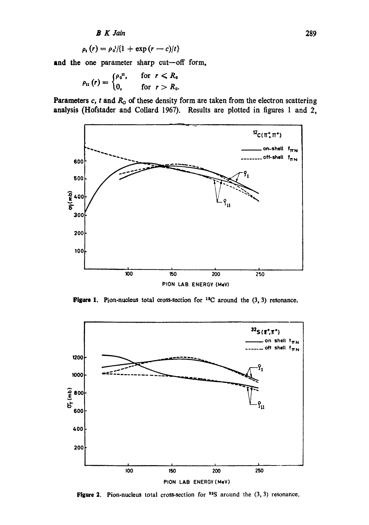**B** K Jain

$$
\rho_{\rm t}(r)=\rho_{\rm 0}^{\rm 1}/(1+\exp{(r-c)/t})
$$

and the one parameter sharp cut-off form,

$$
\rho_{\rm H}(r) = \begin{cases} \rho_{\rm 0}^{\rm H}, & \text{for } r < R_{\rm 0} \\ 0, & \text{for } r > R_{\rm 0} \end{cases}
$$

Parameters  $c$ ,  $t$  and  $R_0$  of these density form are taken from the electron scattering analysis (Hofstader and Collard 1967). Results are plotted in figures 1 and 2,



Figure 1. Pion-nucleus total cross-section for  $^{12}C$  around the (3, 3) resonance.



Figure 2. Pion-nucleus total cross-section for  $32S$  around the  $(3, 3)$  resonance.